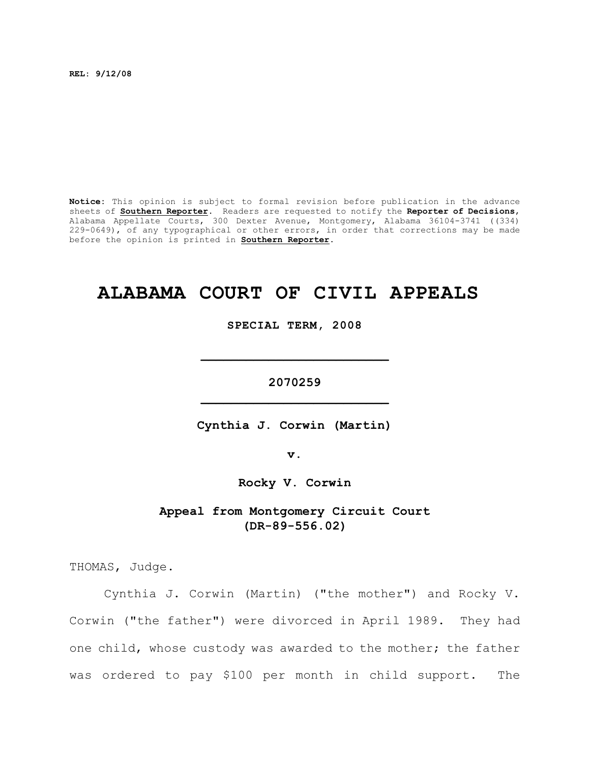**REL: 9/12/08**

**Notice:** This opinion is subject to formal revision before publication in the advance sheets of **Southern Reporter**. Readers are requested to notify the **Reporter of Decisions**, Alabama Appellate Courts, 300 Dexter Avenue, Montgomery, Alabama 36104-3741 ((334) 229-0649), of any typographical or other errors, in order that corrections may be made before the opinion is printed in **Southern Reporter**.

# **ALABAMA COURT OF CIVIL APPEALS**

**SPECIAL TERM, 2008**

**2070259 \_\_\_\_\_\_\_\_\_\_\_\_\_\_\_\_\_\_\_\_\_\_\_\_\_**

**\_\_\_\_\_\_\_\_\_\_\_\_\_\_\_\_\_\_\_\_\_\_\_\_\_**

**Cynthia J. Corwin (Martin)**

**v.**

**Rocky V. Corwin**

**Appeal from Montgomery Circuit Court (DR-89-556.02)**

THOMAS, Judge.

Cynthia J. Corwin (Martin) ("the mother") and Rocky V. Corwin ("the father") were divorced in April 1989. They had one child, whose custody was awarded to the mother; the father was ordered to pay \$100 per month in child support. The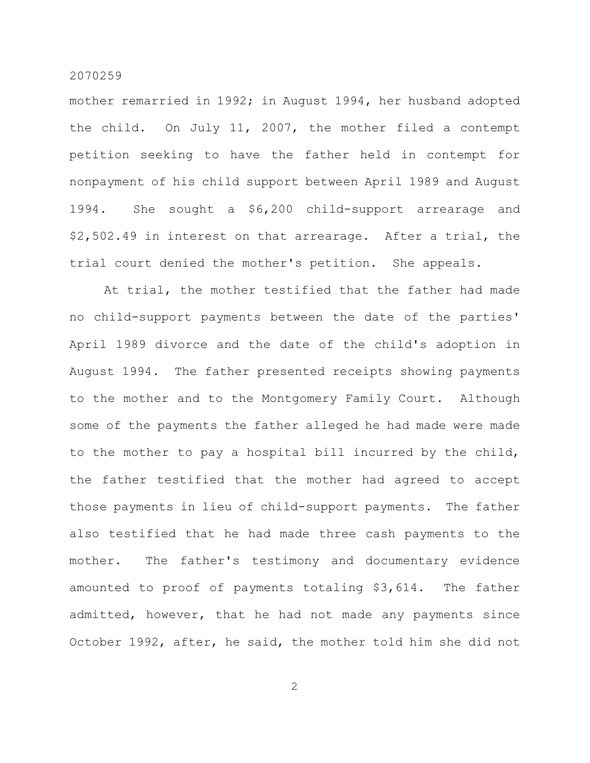mother remarried in 1992; in August 1994, her husband adopted the child. On July 11, 2007, the mother filed a contempt petition seeking to have the father held in contempt for nonpayment of his child support between April 1989 and August 1994. She sought a \$6,200 child-support arrearage and \$2,502.49 in interest on that arrearage. After a trial, the trial court denied the mother's petition. She appeals.

At trial, the mother testified that the father had made no child-support payments between the date of the parties' April 1989 divorce and the date of the child's adoption in August 1994. The father presented receipts showing payments to the mother and to the Montgomery Family Court. Although some of the payments the father alleged he had made were made to the mother to pay a hospital bill incurred by the child, the father testified that the mother had agreed to accept those payments in lieu of child-support payments. The father also testified that he had made three cash payments to the mother. The father's testimony and documentary evidence amounted to proof of payments totaling \$3,614. The father admitted, however, that he had not made any payments since October 1992, after, he said, the mother told him she did not

2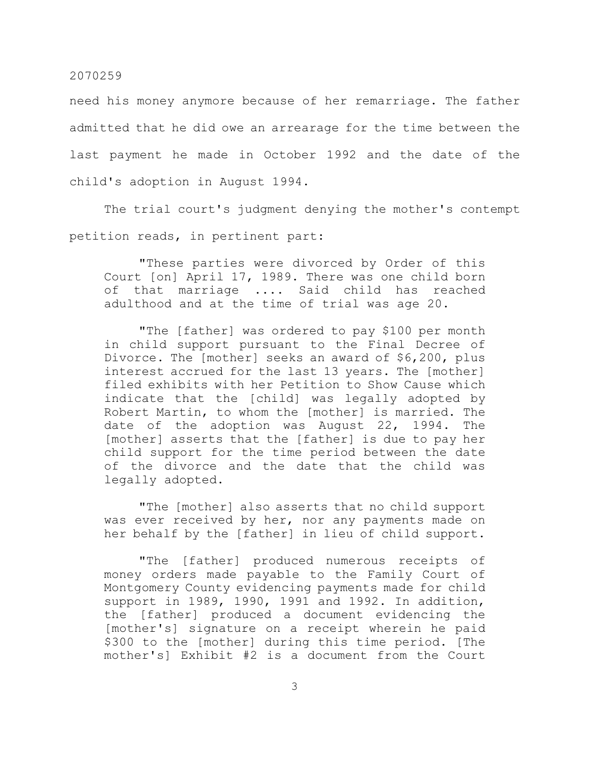need his money anymore because of her remarriage. The father admitted that he did owe an arrearage for the time between the last payment he made in October 1992 and the date of the child's adoption in August 1994.

The trial court's judgment denying the mother's contempt petition reads, in pertinent part:

"These parties were divorced by Order of this Court [on] April 17, 1989. There was one child born of that marriage .... Said child has reached adulthood and at the time of trial was age 20.

"The [father] was ordered to pay \$100 per month in child support pursuant to the Final Decree of Divorce. The [mother] seeks an award of \$6,200, plus interest accrued for the last 13 years. The [mother] filed exhibits with her Petition to Show Cause which indicate that the [child] was legally adopted by Robert Martin, to whom the [mother] is married. The date of the adoption was August 22, 1994. The [mother] asserts that the [father] is due to pay her child support for the time period between the date of the divorce and the date that the child was legally adopted.

"The [mother] also asserts that no child support was ever received by her, nor any payments made on her behalf by the [father] in lieu of child support.

"The [father] produced numerous receipts of money orders made payable to the Family Court of Montgomery County evidencing payments made for child support in 1989, 1990, 1991 and 1992. In addition, the [father] produced a document evidencing the [mother's] signature on a receipt wherein he paid \$300 to the [mother] during this time period. [The mother's] Exhibit #2 is a document from the Court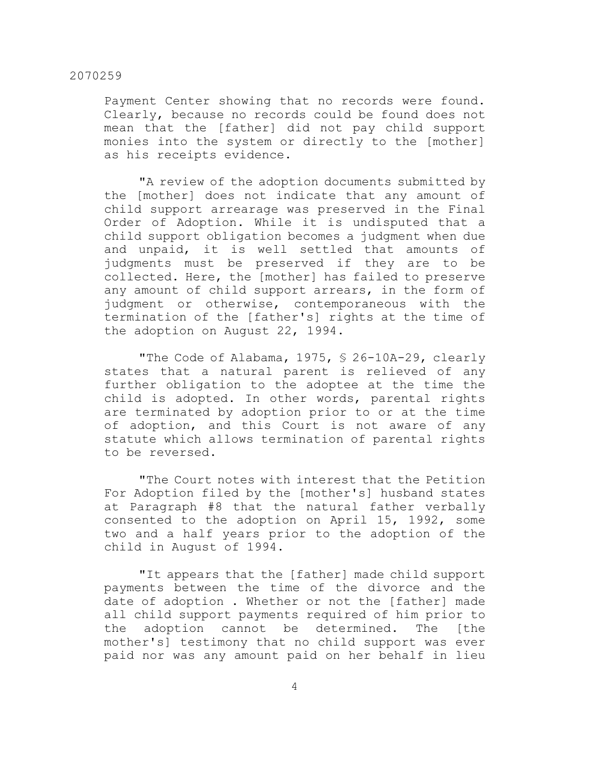Payment Center showing that no records were found. Clearly, because no records could be found does not mean that the [father] did not pay child support monies into the system or directly to the [mother] as his receipts evidence.

"A review of the adoption documents submitted by the [mother] does not indicate that any amount of child support arrearage was preserved in the Final Order of Adoption. While it is undisputed that a child support obligation becomes a judgment when due and unpaid, it is well settled that amounts of judgments must be preserved if they are to be collected. Here, the [mother] has failed to preserve any amount of child support arrears, in the form of judgment or otherwise, contemporaneous with the termination of the [father's] rights at the time of the adoption on August 22, 1994.

"The Code of Alabama, 1975, § 26-10A-29, clearly states that a natural parent is relieved of any further obligation to the adoptee at the time the child is adopted. In other words, parental rights are terminated by adoption prior to or at the time of adoption, and this Court is not aware of any statute which allows termination of parental rights to be reversed.

"The Court notes with interest that the Petition For Adoption filed by the [mother's] husband states at Paragraph #8 that the natural father verbally consented to the adoption on April 15, 1992, some two and a half years prior to the adoption of the child in August of 1994.

"It appears that the [father] made child support payments between the time of the divorce and the date of adoption . Whether or not the [father] made all child support payments required of him prior to the adoption cannot be determined. The [the mother's] testimony that no child support was ever paid nor was any amount paid on her behalf in lieu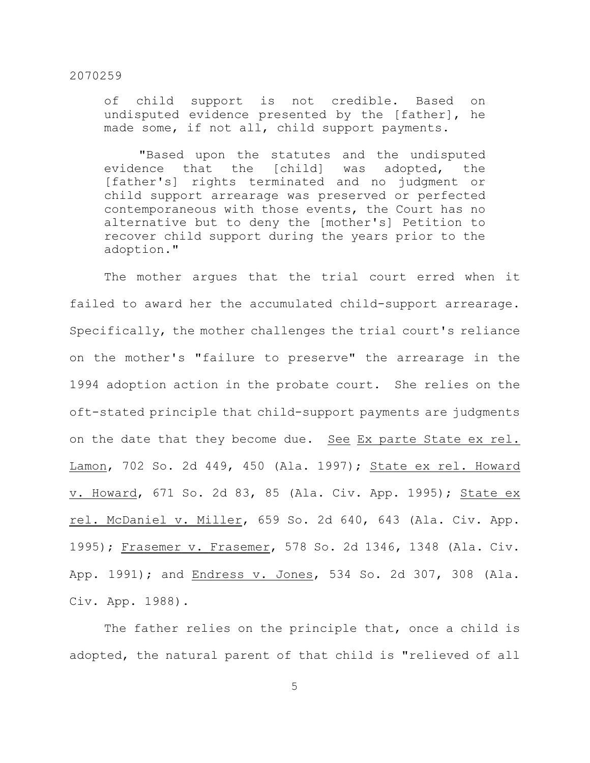of child support is not credible. Based on undisputed evidence presented by the [father], he made some, if not all, child support payments.

"Based upon the statutes and the undisputed evidence that the [child] was adopted, the [father's] rights terminated and no judgment or child support arrearage was preserved or perfected contemporaneous with those events, the Court has no alternative but to deny the [mother's] Petition to recover child support during the years prior to the adoption."

The mother argues that the trial court erred when it failed to award her the accumulated child-support arrearage. Specifically, the mother challenges the trial court's reliance on the mother's "failure to preserve" the arrearage in the 1994 adoption action in the probate court. She relies on the oft-stated principle that child-support payments are judgments on the date that they become due. See Ex parte State ex rel. Lamon, 702 So. 2d 449, 450 (Ala. 1997); State ex rel. Howard v. Howard, 671 So. 2d 83, 85 (Ala. Civ. App. 1995); State ex rel. McDaniel v. Miller, 659 So. 2d 640, 643 (Ala. Civ. App. 1995); Frasemer v. Frasemer, 578 So. 2d 1346, 1348 (Ala. Civ. App. 1991); and Endress v. Jones, 534 So. 2d 307, 308 (Ala. Civ. App. 1988).

The father relies on the principle that, once a child is adopted, the natural parent of that child is "relieved of all

5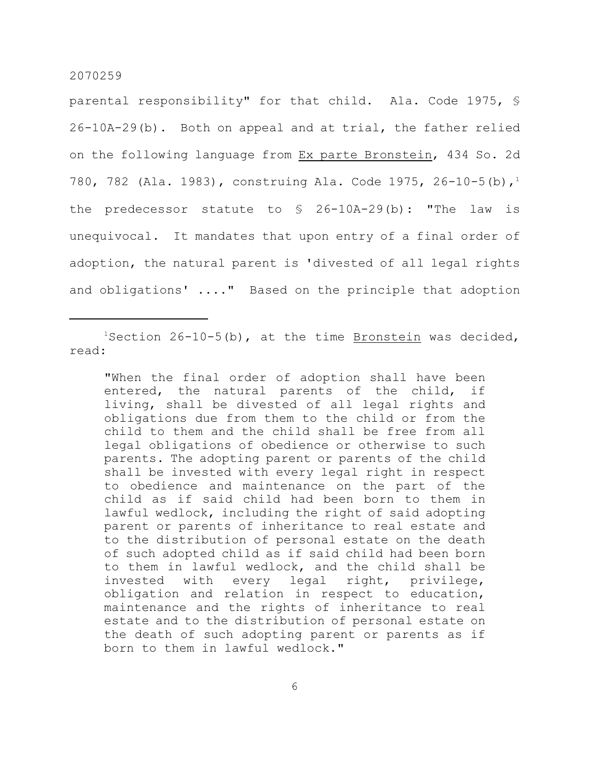parental responsibility" for that child. Ala. Code 1975, § 26-10A-29(b). Both on appeal and at trial, the father relied on the following language from Ex parte Bronstein, 434 So. 2d 780, 782 (Ala. 1983), construing Ala. Code 1975, 26-10-5(b),<sup>1</sup> the predecessor statute to  $\frac{1}{2}$  26-10A-29(b): "The law is unequivocal. It mandates that upon entry of a final order of adoption, the natural parent is 'divested of all legal rights and obligations' ...." Based on the principle that adoption

 $1$ Section 26-10-5(b), at the time Bronstein was decided, read:

"When the final order of adoption shall have been entered, the natural parents of the child, if living, shall be divested of all legal rights and obligations due from them to the child or from the child to them and the child shall be free from all legal obligations of obedience or otherwise to such parents. The adopting parent or parents of the child shall be invested with every legal right in respect to obedience and maintenance on the part of the child as if said child had been born to them in lawful wedlock, including the right of said adopting parent or parents of inheritance to real estate and to the distribution of personal estate on the death of such adopted child as if said child had been born to them in lawful wedlock, and the child shall be invested with every legal right, privilege, obligation and relation in respect to education, maintenance and the rights of inheritance to real estate and to the distribution of personal estate on the death of such adopting parent or parents as if born to them in lawful wedlock."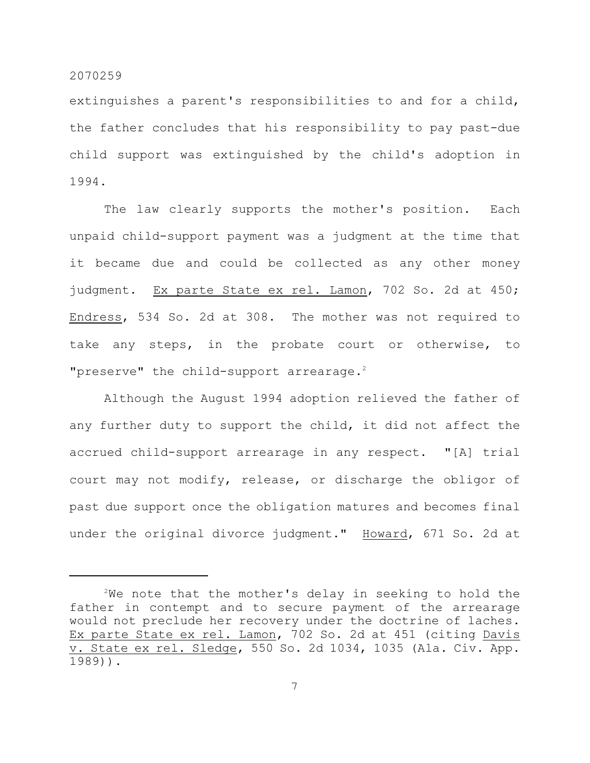extinguishes a parent's responsibilities to and for a child, the father concludes that his responsibility to pay past-due child support was extinguished by the child's adoption in 1994.

The law clearly supports the mother's position. Each unpaid child-support payment was a judgment at the time that it became due and could be collected as any other money judgment. Ex parte State ex rel. Lamon, 702 So. 2d at 450; Endress, 534 So. 2d at 308. The mother was not required to take any steps, in the probate court or otherwise, to "preserve" the child-support arrearage.<sup>2</sup>

Although the August 1994 adoption relieved the father of any further duty to support the child, it did not affect the accrued child-support arrearage in any respect. "[A] trial court may not modify, release, or discharge the obligor of past due support once the obligation matures and becomes final under the original divorce judgment." Howard, 671 So. 2d at

 $2$ We note that the mother's delay in seeking to hold the father in contempt and to secure payment of the arrearage would not preclude her recovery under the doctrine of laches. Ex parte State ex rel. Lamon, 702 So. 2d at 451 (citing Davis v. State ex rel. Sledge, 550 So. 2d 1034, 1035 (Ala. Civ. App. 1989)).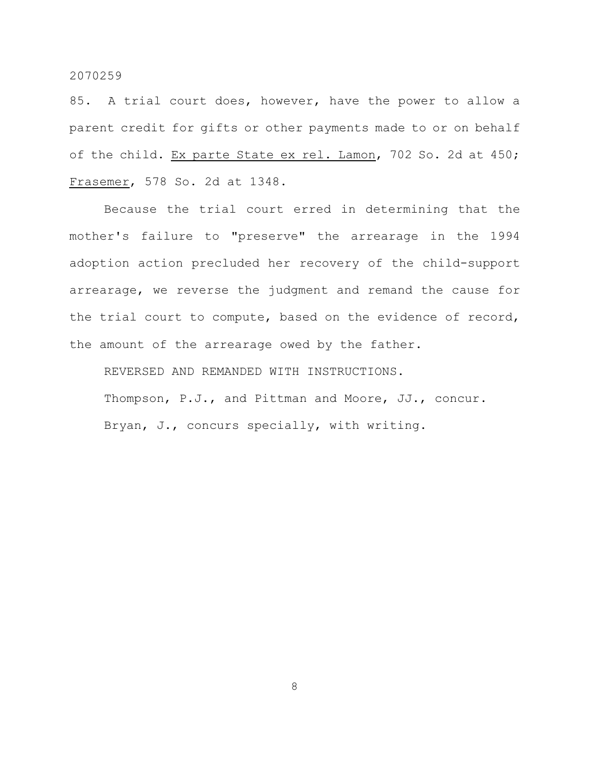85. A trial court does, however, have the power to allow a parent credit for gifts or other payments made to or on behalf of the child. Ex parte State ex rel. Lamon, 702 So. 2d at 450; Frasemer, 578 So. 2d at 1348.

Because the trial court erred in determining that the mother's failure to "preserve" the arrearage in the 1994 adoption action precluded her recovery of the child-support arrearage, we reverse the judgment and remand the cause for the trial court to compute, based on the evidence of record, the amount of the arrearage owed by the father.

REVERSED AND REMANDED WITH INSTRUCTIONS. Thompson, P.J., and Pittman and Moore, JJ., concur. Bryan, J., concurs specially, with writing.

8